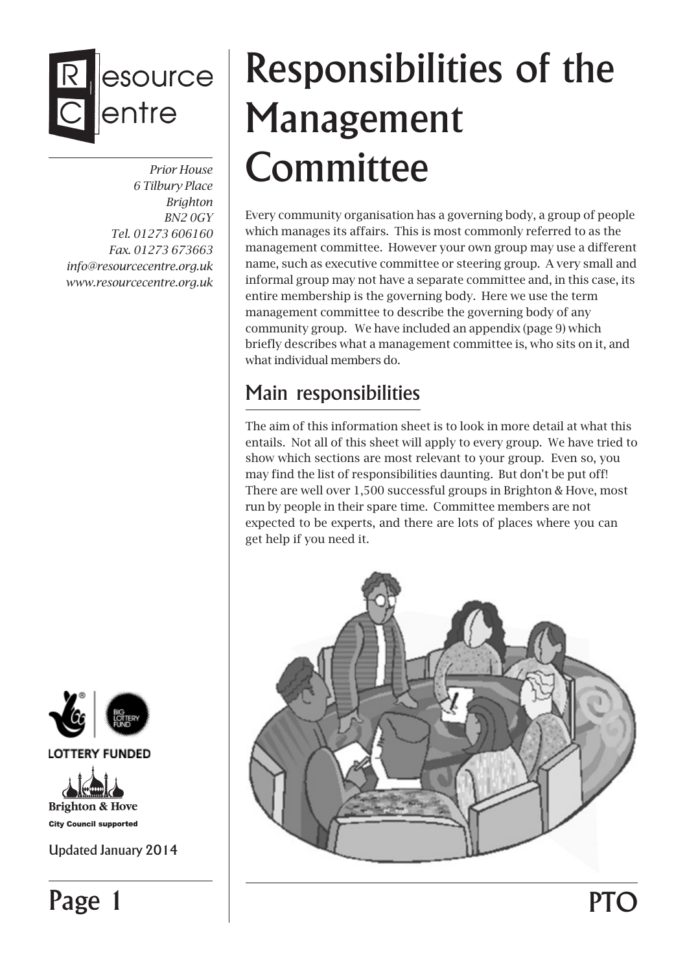# esource entre

*Prior House 6 Tilbury Place Brighton BN2 0GY Tel. 01273 606160 Fax. 01273 673663 info@resourcecentre.org.uk www.resourcecentre.org.uk*



**LOTTERY FUNDED** 



**City Council supported** 

Updated January 2014

Page 1

# Responsibilities of the Management **Committee**

Every community organisation has a governing body, a group of people which manages its affairs. This is most commonly referred to as the management committee. However your own group may use a different name, such as executive committee or steering group. A very small and informal group may not have a separate committee and, in this case, its entire membership is the governing body. Here we use the term management committee to describe the governing body of any community group. We have included an appendix (page 9) which briefly describes what a management committee is, who sits on it, and what individual members do.

## Main responsibilities

The aim of this information sheet is to look in more detail at what this entails. Not all of this sheet will apply to every group. We have tried to show which sections are most relevant to your group. Even so, you may find the list of responsibilities daunting. But don't be put off! There are well over 1,500 successful groups in Brighton & Hove, most run by people in their spare time. Committee members are not expected to be experts, and there are lots of places where you can get help if you need it.



**PTO**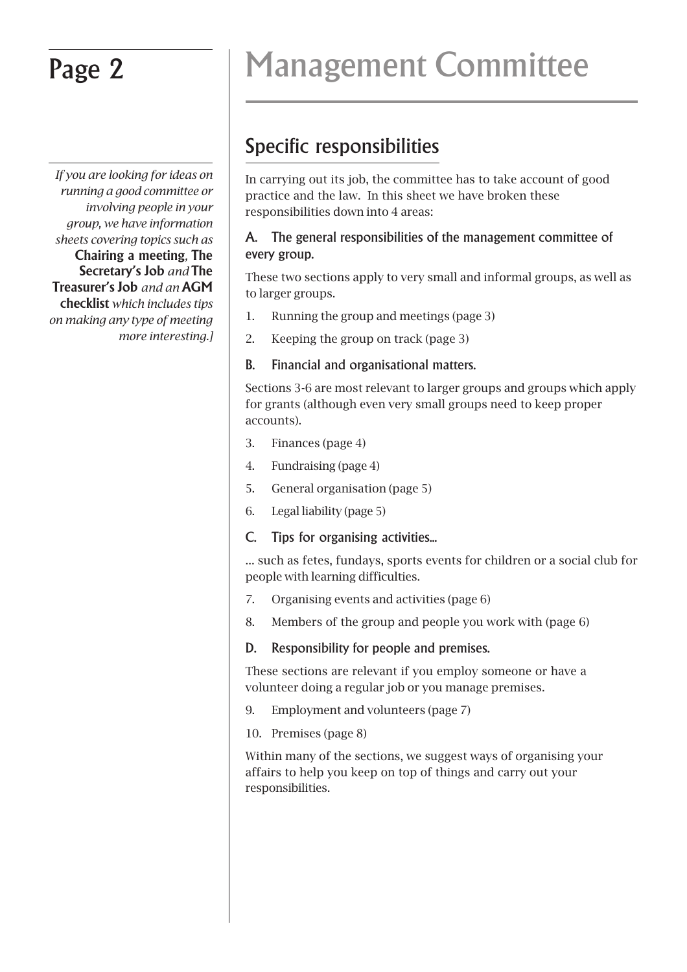*If you are looking for ideas on running a good committee or involving people in your group, we have information sheets covering topics such as* **Chairing a meeting***,* **The Secretary's Job** *and* **The Treasurer's Job** *and an* **AGM checklist** *which includes tips on making any type of meeting more interesting.]*

# Page 2 Management Committee

## Specific responsibilities

In carrying out its job, the committee has to take account of good practice and the law. In this sheet we have broken these responsibilities down into 4 areas:

#### A. The general responsibilities of the management committee of every group.

These two sections apply to very small and informal groups, as well as to larger groups.

- 1. Running the group and meetings (page 3)
- 2. Keeping the group on track (page 3)

### B. Financial and organisational matters.

Sections 3-6 are most relevant to larger groups and groups which apply for grants (although even very small groups need to keep proper accounts).

- 3. Finances (page 4)
- 4. Fundraising (page 4)
- 5. General organisation (page 5)
- 6. Legal liability (page 5)

### C. Tips for organising activities...

... such as fetes, fundays, sports events for children or a social club for people with learning difficulties.

- 7. Organising events and activities (page 6)
- 8. Members of the group and people you work with (page 6)

### D. Responsibility for people and premises.

These sections are relevant if you employ someone or have a volunteer doing a regular job or you manage premises.

- 9. Employment and volunteers (page 7)
- 10. Premises (page 8)

Within many of the sections, we suggest ways of organising your affairs to help you keep on top of things and carry out your responsibilities.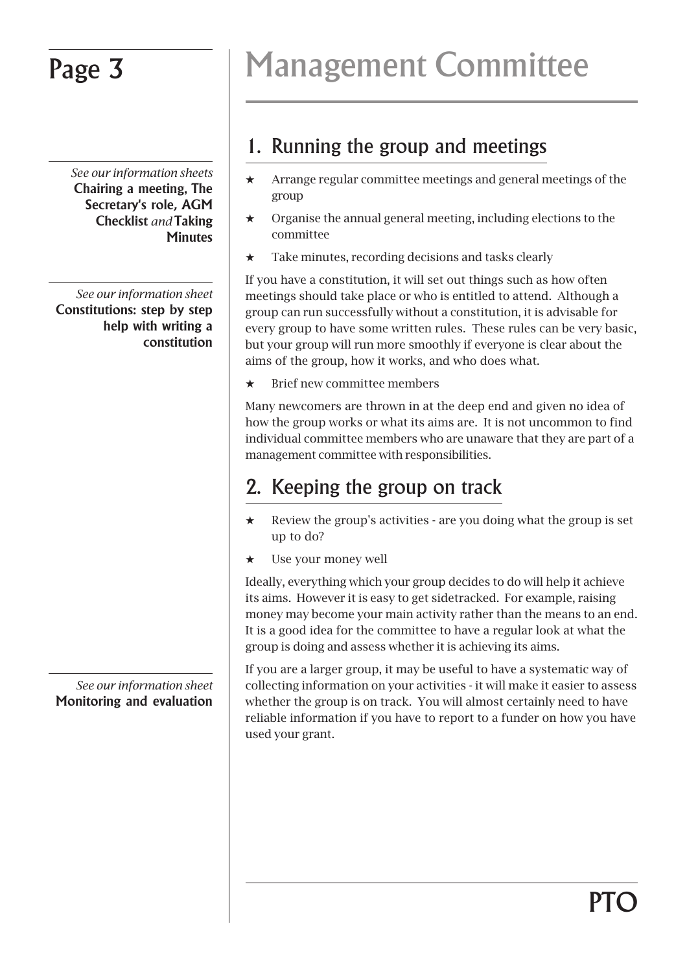*See our information sheets* **Chairing a meeting, The Secretary's role, AGM Checklist** *and* **Taking Minutes**

*See our information sheet* **Constitutions: step by step help with writing a constitution**

*See our information sheet* **Monitoring and evaluation**

## Page 3 | Management Committee

### 1. Running the group and meetings

- $\star$  Arrange regular committee meetings and general meetings of the group
- $\star$  Organise the annual general meeting, including elections to the committee
- $\star$  Take minutes, recording decisions and tasks clearly

If you have a constitution, it will set out things such as how often meetings should take place or who is entitled to attend. Although a group can run successfully without a constitution, it is advisable for every group to have some written rules. These rules can be very basic, but your group will run more smoothly if everyone is clear about the aims of the group, how it works, and who does what.

 $\star$  Brief new committee members

Many newcomers are thrown in at the deep end and given no idea of how the group works or what its aims are. It is not uncommon to find individual committee members who are unaware that they are part of a management committee with responsibilities.

## 2. Keeping the group on track

- $\star$  Review the group's activities are you doing what the group is set up to do?
- Use your money well

Ideally, everything which your group decides to do will help it achieve its aims. However it is easy to get sidetracked. For example, raising money may become your main activity rather than the means to an end. It is a good idea for the committee to have a regular look at what the group is doing and assess whether it is achieving its aims.

If you are a larger group, it may be useful to have a systematic way of collecting information on your activities - it will make it easier to assess whether the group is on track. You will almost certainly need to have reliable information if you have to report to a funder on how you have used your grant.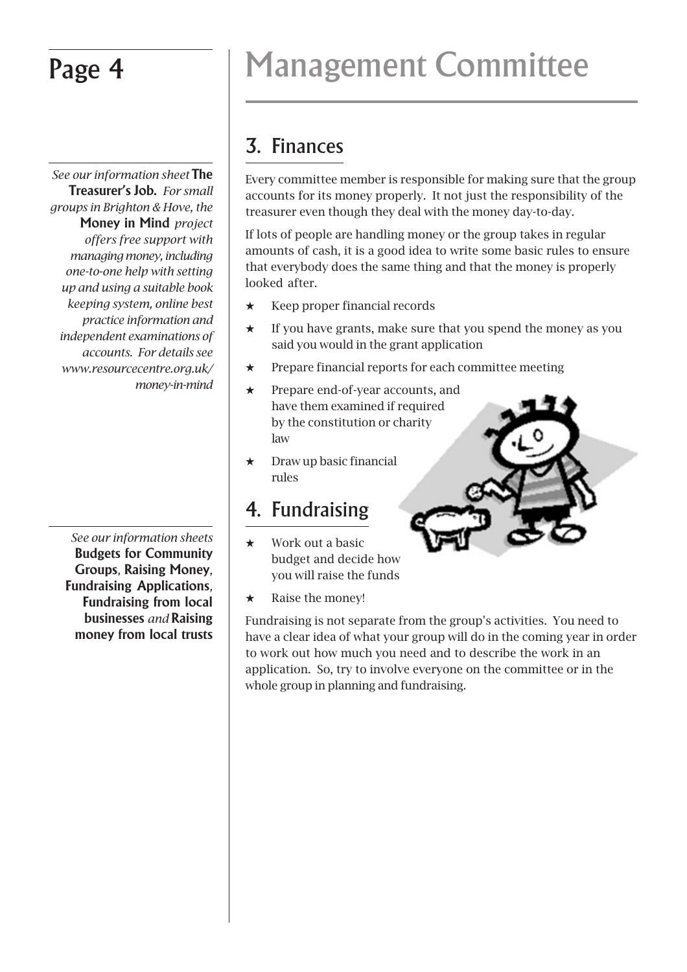*See our information sheet* **The Treasurer's Job.** *For small groups in Brighton & Hove, the* **Money in Mind** *project offers free support with managing money, including one-to-one help with setting up and using a suitable book keeping system, online best practice information and independent examinations of accounts. For details see www.resourcecentre.org.uk/ money-in-mind*

*See our information sheets* **Budgets for Community Groups***,* **Raising Money***,* **Fundraising Applications***,* **Fundraising from local businesses** *and* **Raising money from local trusts**

# Page 4 Management Committee

## 3. Finances

Every committee member is responsible for making sure that the group accounts for its money properly. It not just the responsibility of the treasurer even though they deal with the money day-to-day.

If lots of people are handling money or the group takes in regular amounts of cash, it is a good idea to write some basic rules to ensure that everybody does the same thing and that the money is properly looked after.

- $\star$  Keep proper financial records
- $\star$  If you have grants, make sure that you spend the money as you said you would in the grant application
- $\star$  Prepare financial reports for each committee meeting
- $\star$  Prepare end-of-year accounts, and have them examined if required by the constitution or charity law
- $\star$  Draw up basic financial rules

### 4. Fundraising

- $\star$  Work out a basic budget and decide how you will raise the funds
- Raise the money!

Fundraising is not separate from the group's activities. You need to have a clear idea of what your group will do in the coming year in order to work out how much you need and to describe the work in an application. So, try to involve everyone on the committee or in the whole group in planning and fundraising.

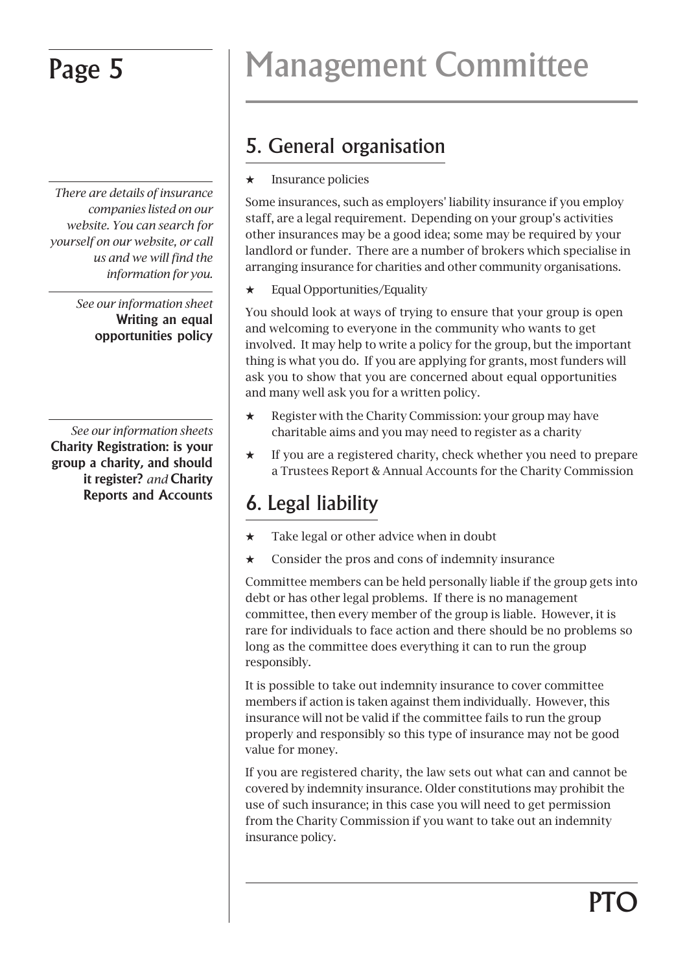*There are details of insurance companies listed on our website. You can search for yourself on our website, or call us and we will find the information for you.*

> *See our information sheet* **Writing an equal opportunities policy**

*See our information sheets* **Charity Registration: is your group a charity, and should it register?** *and* **Charity Reports and Accounts**

# Page 5 Management Committee

## 5. General organisation

 $\star$  Insurance policies

Some insurances, such as employers' liability insurance if you employ staff, are a legal requirement. Depending on your group's activities other insurances may be a good idea; some may be required by your landlord or funder. There are a number of brokers which specialise in arranging insurance for charities and other community organisations.

 $\star$  Equal Opportunities/Equality

You should look at ways of trying to ensure that your group is open and welcoming to everyone in the community who wants to get involved. It may help to write a policy for the group, but the important thing is what you do. If you are applying for grants, most funders will ask you to show that you are concerned about equal opportunities and many well ask you for a written policy.

- $\star$  Register with the Charity Commission: your group may have charitable aims and you may need to register as a charity
- $\star$  If you are a registered charity, check whether you need to prepare a Trustees Report & Annual Accounts for the Charity Commission

## 6. Legal liability

- $\star$  Take legal or other advice when in doubt
- $\star$  Consider the pros and cons of indemnity insurance

Committee members can be held personally liable if the group gets into debt or has other legal problems. If there is no management committee, then every member of the group is liable. However, it is rare for individuals to face action and there should be no problems so long as the committee does everything it can to run the group responsibly.

It is possible to take out indemnity insurance to cover committee members if action is taken against them individually. However, this insurance will not be valid if the committee fails to run the group properly and responsibly so this type of insurance may not be good value for money.

If you are registered charity, the law sets out what can and cannot be covered by indemnity insurance. Older constitutions may prohibit the use of such insurance; in this case you will need to get permission from the Charity Commission if you want to take out an indemnity insurance policy.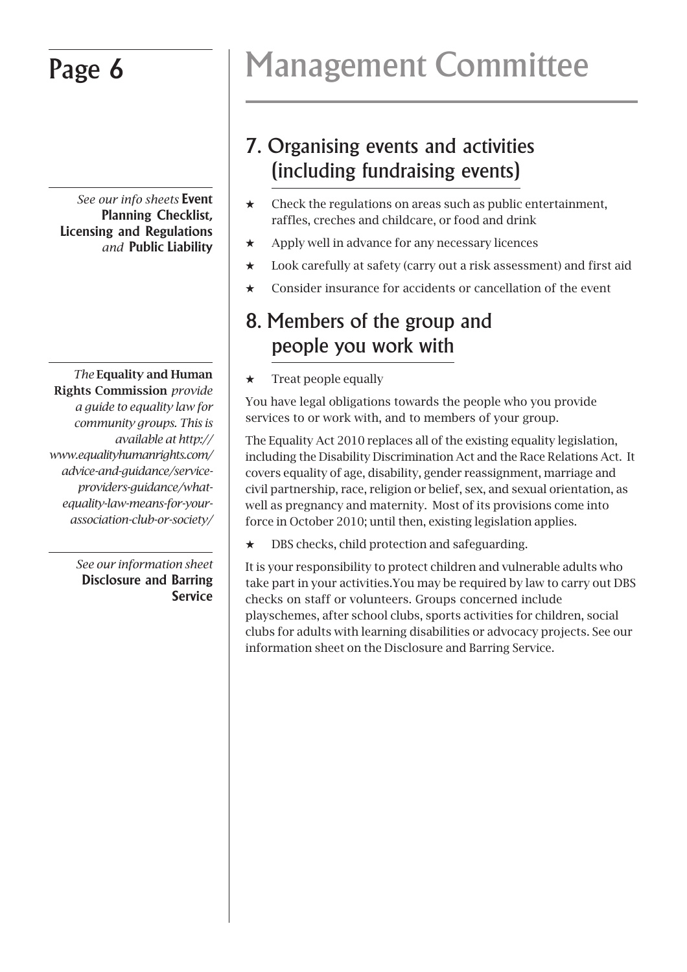*See our info sheets* **Event Planning Checklist, Licensing and Regulations** *and* **Public Liability**

*The* **Equality and Human Rights Commission** *provide a guide to equality law for community groups. This is available at http:// www.equalityhumanrights.com/ advice-and-guidance/serviceproviders-guidance/whatequality-law-means-for-yourassociation-club-or-society/*

> *See our information sheet* **Disclosure and Barring Service**

# Page 6 | Management Committee

## 7. Organising events and activities (including fundraising events)

- $\star$  Check the regulations on areas such as public entertainment, raffles, creches and childcare, or food and drink
- $\star$  Apply well in advance for any necessary licences
- $\star$  Look carefully at safety (carry out a risk assessment) and first aid
- $\star$  Consider insurance for accidents or cancellation of the event

### 8. Members of the group and people you work with

Treat people equally

You have legal obligations towards the people who you provide services to or work with, and to members of your group.

The Equality Act 2010 replaces all of the existing equality legislation, including the Disability Discrimination Act and the Race Relations Act. It covers equality of age, disability, gender reassignment, marriage and civil partnership, race, religion or belief, sex, and sexual orientation, as well as pregnancy and maternity. Most of its provisions come into force in October 2010; until then, existing legislation applies.

 $\star$  DBS checks, child protection and safeguarding.

It is your responsibility to protect children and vulnerable adults who take part in your activities.You may be required by law to carry out DBS checks on staff or volunteers. Groups concerned include playschemes, after school clubs, sports activities for children, social clubs for adults with learning disabilities or advocacy projects. See our information sheet on the Disclosure and Barring Service.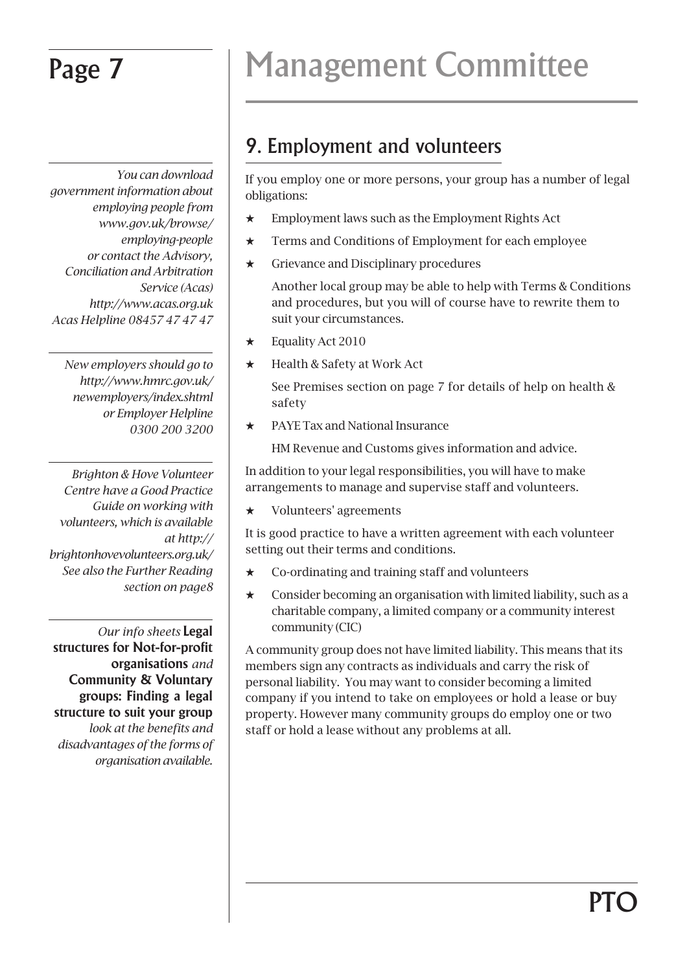*You can download government information about employing people from www.gov.uk/browse/ employing-people or contact the Advisory, Conciliation and Arbitration Service (Acas) http://www.acas.org.uk Acas Helpline 08457 47 47 47*

 *New employers should go to http://www.hmrc.gov.uk/ newemployers/index.shtml or Employer Helpline 0300 200 3200*

*Brighton & Hove Volunteer Centre have a Good Practice Guide on working with volunteers, which is available at http:// brightonhovevolunteers.org.uk/ See also the Further Reading section on page8*

*Our info sheets* **Legal structures for Not-for-profit organisations** *and* **Community & Voluntary groups: Finding a legal structure to suit your group** *look at the benefits and disadvantages of the forms of organisation available.*

# Page 7 Management Committee

## 9. Employment and volunteers

If you employ one or more persons, your group has a number of legal obligations:

- $\star$  Employment laws such as the Employment Rights Act
- $\star$  Terms and Conditions of Employment for each employee
- $\star$  Grievance and Disciplinary procedures

Another local group may be able to help with Terms & Conditions and procedures, but you will of course have to rewrite them to suit your circumstances.

- $\star$  Equality Act 2010
- $\star$  Health & Safety at Work Act

See Premises section on page 7 for details of help on health & safety

 $\star$  PAYE Tax and National Insurance

HM Revenue and Customs gives information and advice.

In addition to your legal responsibilities, you will have to make arrangements to manage and supervise staff and volunteers.

 $\star$  Volunteers' agreements

It is good practice to have a written agreement with each volunteer setting out their terms and conditions.

- Co-ordinating and training staff and volunteers
- $\star$  Consider becoming an organisation with limited liability, such as a charitable company, a limited company or a community interest community (CIC)

A community group does not have limited liability. This means that its members sign any contracts as individuals and carry the risk of personal liability. You may want to consider becoming a limited company if you intend to take on employees or hold a lease or buy property. However many community groups do employ one or two staff or hold a lease without any problems at all.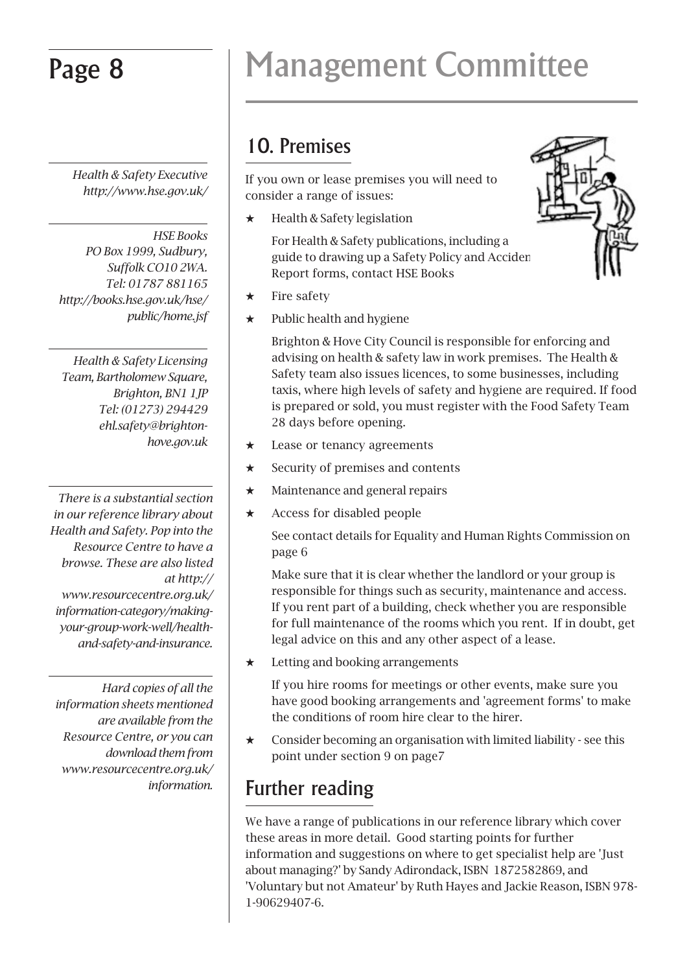*Health & Safety Executive http://www.hse.gov.uk/*

*HSE Books PO Box 1999, Sudbury, Suffolk CO10 2WA. Tel: 01787 881165 http://books.hse.gov.uk/hse/ public/home.jsf*

*Health & Safety Licensing Team, Bartholomew Square, Brighton, BN1 1JP Tel: (01273) 294429 ehl.safety@brightonhove.gov.uk*

*There is a substantial section in our reference library about Health and Safety. Pop into the Resource Centre to have a browse. These are also listed at http:// www.resourcecentre.org.uk/ information-category/makingyour-group-work-well/healthand-safety-and-insurance.*

*Hard copies of all the information sheets mentioned are available from the Resource Centre, or you can download them from www.resourcecentre.org.uk/ information.*

# Page 8 Management Committee

## 10. Premises

If you own or lease premises you will need to consider a range of issues:

 $\star$  Health & Safety legislation

For Health & Safety publications, including a guide to drawing up a Safety Policy and Acciden Report forms, contact HSE Books



- $\star$  Fire safety
- $\star$  Public health and hygiene

Brighton & Hove City Council is responsible for enforcing and advising on health & safety law in work premises. The Health & Safety team also issues licences, to some businesses, including taxis, where high levels of safety and hygiene are required. If food is prepared or sold, you must register with the Food Safety Team 28 days before opening.

- $\star$  Lease or tenancy agreements
- $\star$  Security of premises and contents
- $\star$  Maintenance and general repairs
- $\star$  Access for disabled people

See contact details for Equality and Human Rights Commission on page 6

Make sure that it is clear whether the landlord or your group is responsible for things such as security, maintenance and access. If you rent part of a building, check whether you are responsible for full maintenance of the rooms which you rent. If in doubt, get legal advice on this and any other aspect of a lease.

 $\star$  Letting and booking arrangements

If you hire rooms for meetings or other events, make sure you have good booking arrangements and 'agreement forms' to make the conditions of room hire clear to the hirer.

 $\star$  Consider becoming an organisation with limited liability - see this point under section 9 on page7

## Further reading

We have a range of publications in our reference library which cover these areas in more detail. Good starting points for further information and suggestions on where to get specialist help are 'Just about managing?' by Sandy Adirondack, ISBN 1872582869, and 'Voluntary but not Amateur' by Ruth Hayes and Jackie Reason, ISBN 978- 1-90629407-6.